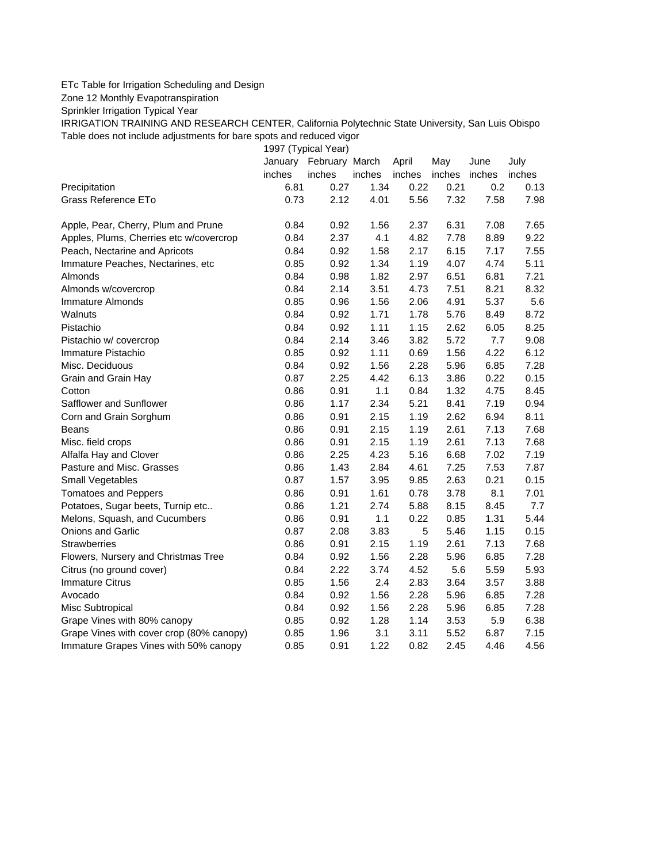## ETc Table for Irrigation Scheduling and Design

Zone 12 Monthly Evapotranspiration

Sprinkler Irrigation Typical Year

IRRIGATION TRAINING AND RESEARCH CENTER, California Polytechnic State University, San Luis Obispo Table does not include adjustments for bare spots and reduced vigor

1997 (Typical Year)

|                                          | January | February March |        | April  | May    | June   | July   |
|------------------------------------------|---------|----------------|--------|--------|--------|--------|--------|
|                                          | inches  | inches         | inches | inches | inches | inches | inches |
| Precipitation                            | 6.81    | 0.27           | 1.34   | 0.22   | 0.21   | 0.2    | 0.13   |
| Grass Reference ETo                      | 0.73    | 2.12           | 4.01   | 5.56   | 7.32   | 7.58   | 7.98   |
| Apple, Pear, Cherry, Plum and Prune      | 0.84    | 0.92           | 1.56   | 2.37   | 6.31   | 7.08   | 7.65   |
| Apples, Plums, Cherries etc w/covercrop  | 0.84    | 2.37           | 4.1    | 4.82   | 7.78   | 8.89   | 9.22   |
| Peach, Nectarine and Apricots            | 0.84    | 0.92           | 1.58   | 2.17   | 6.15   | 7.17   | 7.55   |
| Immature Peaches, Nectarines, etc        | 0.85    | 0.92           | 1.34   | 1.19   | 4.07   | 4.74   | 5.11   |
| Almonds                                  | 0.84    | 0.98           | 1.82   | 2.97   | 6.51   | 6.81   | 7.21   |
| Almonds w/covercrop                      | 0.84    | 2.14           | 3.51   | 4.73   | 7.51   | 8.21   | 8.32   |
| Immature Almonds                         | 0.85    | 0.96           | 1.56   | 2.06   | 4.91   | 5.37   | 5.6    |
| Walnuts                                  | 0.84    | 0.92           | 1.71   | 1.78   | 5.76   | 8.49   | 8.72   |
| Pistachio                                | 0.84    | 0.92           | 1.11   | 1.15   | 2.62   | 6.05   | 8.25   |
| Pistachio w/ covercrop                   | 0.84    | 2.14           | 3.46   | 3.82   | 5.72   | 7.7    | 9.08   |
| Immature Pistachio                       | 0.85    | 0.92           | 1.11   | 0.69   | 1.56   | 4.22   | 6.12   |
| Misc. Deciduous                          | 0.84    | 0.92           | 1.56   | 2.28   | 5.96   | 6.85   | 7.28   |
| Grain and Grain Hay                      | 0.87    | 2.25           | 4.42   | 6.13   | 3.86   | 0.22   | 0.15   |
| Cotton                                   | 0.86    | 0.91           | 1.1    | 0.84   | 1.32   | 4.75   | 8.45   |
| Safflower and Sunflower                  | 0.86    | 1.17           | 2.34   | 5.21   | 8.41   | 7.19   | 0.94   |
| Corn and Grain Sorghum                   | 0.86    | 0.91           | 2.15   | 1.19   | 2.62   | 6.94   | 8.11   |
| Beans                                    | 0.86    | 0.91           | 2.15   | 1.19   | 2.61   | 7.13   | 7.68   |
| Misc. field crops                        | 0.86    | 0.91           | 2.15   | 1.19   | 2.61   | 7.13   | 7.68   |
| Alfalfa Hay and Clover                   | 0.86    | 2.25           | 4.23   | 5.16   | 6.68   | 7.02   | 7.19   |
| Pasture and Misc. Grasses                | 0.86    | 1.43           | 2.84   | 4.61   | 7.25   | 7.53   | 7.87   |
| Small Vegetables                         | 0.87    | 1.57           | 3.95   | 9.85   | 2.63   | 0.21   | 0.15   |
| <b>Tomatoes and Peppers</b>              | 0.86    | 0.91           | 1.61   | 0.78   | 3.78   | 8.1    | 7.01   |
| Potatoes, Sugar beets, Turnip etc        | 0.86    | 1.21           | 2.74   | 5.88   | 8.15   | 8.45   | 7.7    |
| Melons, Squash, and Cucumbers            | 0.86    | 0.91           | 1.1    | 0.22   | 0.85   | 1.31   | 5.44   |
| Onions and Garlic                        | 0.87    | 2.08           | 3.83   | 5      | 5.46   | 1.15   | 0.15   |
| <b>Strawberries</b>                      | 0.86    | 0.91           | 2.15   | 1.19   | 2.61   | 7.13   | 7.68   |
| Flowers, Nursery and Christmas Tree      | 0.84    | 0.92           | 1.56   | 2.28   | 5.96   | 6.85   | 7.28   |
| Citrus (no ground cover)                 | 0.84    | 2.22           | 3.74   | 4.52   | 5.6    | 5.59   | 5.93   |
| <b>Immature Citrus</b>                   | 0.85    | 1.56           | 2.4    | 2.83   | 3.64   | 3.57   | 3.88   |
| Avocado                                  | 0.84    | 0.92           | 1.56   | 2.28   | 5.96   | 6.85   | 7.28   |
| Misc Subtropical                         | 0.84    | 0.92           | 1.56   | 2.28   | 5.96   | 6.85   | 7.28   |
| Grape Vines with 80% canopy              | 0.85    | 0.92           | 1.28   | 1.14   | 3.53   | 5.9    | 6.38   |
| Grape Vines with cover crop (80% canopy) | 0.85    | 1.96           | 3.1    | 3.11   | 5.52   | 6.87   | 7.15   |
| Immature Grapes Vines with 50% canopy    | 0.85    | 0.91           | 1.22   | 0.82   | 2.45   | 4.46   | 4.56   |